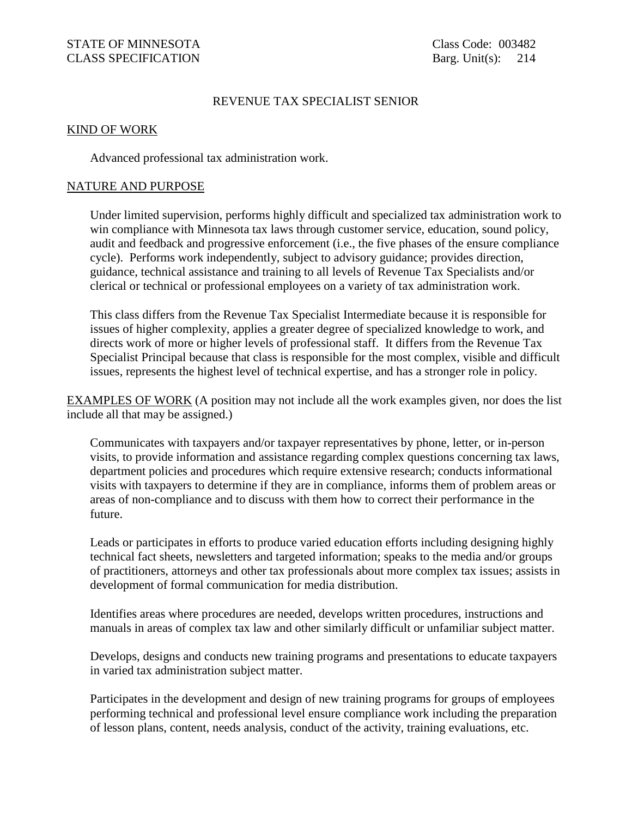### REVENUE TAX SPECIALIST SENIOR

#### KIND OF WORK

Advanced professional tax administration work.

#### NATURE AND PURPOSE

 Under limited supervision, performs highly difficult and specialized tax administration work to win compliance with Minnesota tax laws through customer service, education, sound policy, audit and feedback and progressive enforcement (i.e., the five phases of the ensure compliance cycle). Performs work independently, subject to advisory guidance; provides direction, guidance, technical assistance and training to all levels of Revenue Tax Specialists and/or clerical or technical or professional employees on a variety of tax administration work.

This class differs from the Revenue Tax Specialist Intermediate because it is responsible for issues of higher complexity, applies a greater degree of specialized knowledge to work, and directs work of more or higher levels of professional staff. It differs from the Revenue Tax Specialist Principal because that class is responsible for the most complex, visible and difficult issues, represents the highest level of technical expertise, and has a stronger role in policy.

EXAMPLES OF WORK (A position may not include all the work examples given, nor does the list include all that may be assigned.)

 Communicates with taxpayers and/or taxpayer representatives by phone, letter, or in-person visits, to provide information and assistance regarding complex questions concerning tax laws, department policies and procedures which require extensive research; conducts informational visits with taxpayers to determine if they are in compliance, informs them of problem areas or areas of non-compliance and to discuss with them how to correct their performance in the future.

 Leads or participates in efforts to produce varied education efforts including designing highly technical fact sheets, newsletters and targeted information; speaks to the media and/or groups of practitioners, attorneys and other tax professionals about more complex tax issues; assists in development of formal communication for media distribution.

Identifies areas where procedures are needed, develops written procedures, instructions and manuals in areas of complex tax law and other similarly difficult or unfamiliar subject matter.

 Develops, designs and conducts new training programs and presentations to educate taxpayers in varied tax administration subject matter.

 Participates in the development and design of new training programs for groups of employees performing technical and professional level ensure compliance work including the preparation of lesson plans, content, needs analysis, conduct of the activity, training evaluations, etc.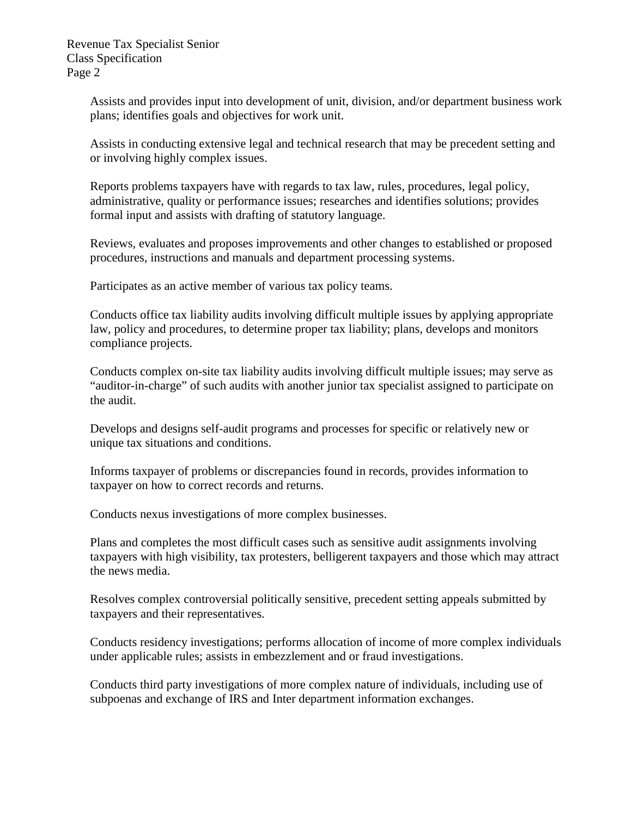Revenue Tax Specialist Senior Class Specification Page 2

> Assists and provides input into development of unit, division, and/or department business work plans; identifies goals and objectives for work unit.

Assists in conducting extensive legal and technical research that may be precedent setting and or involving highly complex issues.

 Reports problems taxpayers have with regards to tax law, rules, procedures, legal policy, administrative, quality or performance issues; researches and identifies solutions; provides formal input and assists with drafting of statutory language.

 Reviews, evaluates and proposes improvements and other changes to established or proposed procedures, instructions and manuals and department processing systems.

Participates as an active member of various tax policy teams.

Conducts office tax liability audits involving difficult multiple issues by applying appropriate law, policy and procedures, to determine proper tax liability; plans, develops and monitors compliance projects.

 Conducts complex on-site tax liability audits involving difficult multiple issues; may serve as "auditor-in-charge" of such audits with another junior tax specialist assigned to participate on the audit.

 Develops and designs self-audit programs and processes for specific or relatively new or unique tax situations and conditions.

 Informs taxpayer of problems or discrepancies found in records, provides information to taxpayer on how to correct records and returns.

Conducts nexus investigations of more complex businesses.

Plans and completes the most difficult cases such as sensitive audit assignments involving taxpayers with high visibility, tax protesters, belligerent taxpayers and those which may attract the news media.

 Resolves complex controversial politically sensitive, precedent setting appeals submitted by taxpayers and their representatives.

 Conducts residency investigations; performs allocation of income of more complex individuals under applicable rules; assists in embezzlement and or fraud investigations.

 Conducts third party investigations of more complex nature of individuals, including use of subpoenas and exchange of IRS and Inter department information exchanges.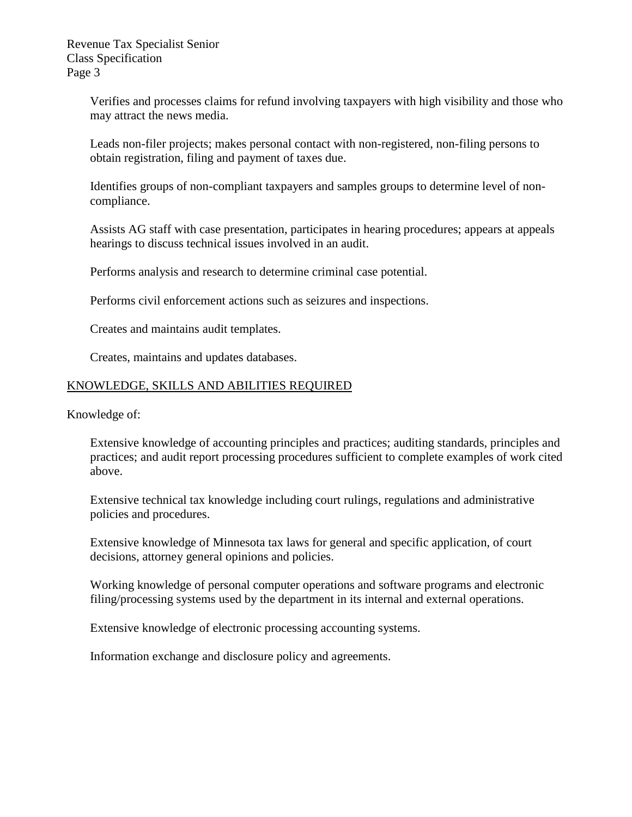Verifies and processes claims for refund involving taxpayers with high visibility and those who may attract the news media.

 Leads non-filer projects; makes personal contact with non-registered, non-filing persons to obtain registration, filing and payment of taxes due.

Identifies groups of non-compliant taxpayers and samples groups to determine level of noncompliance.

Assists AG staff with case presentation, participates in hearing procedures; appears at appeals hearings to discuss technical issues involved in an audit.

Performs analysis and research to determine criminal case potential.

Performs civil enforcement actions such as seizures and inspections.

Creates and maintains audit templates.

Creates, maintains and updates databases.

## KNOWLEDGE, SKILLS AND ABILITIES REQUIRED

Knowledge of:

 Extensive knowledge of accounting principles and practices; auditing standards, principles and practices; and audit report processing procedures sufficient to complete examples of work cited above.

Extensive technical tax knowledge including court rulings, regulations and administrative policies and procedures.

 Extensive knowledge of Minnesota tax laws for general and specific application, of court decisions, attorney general opinions and policies.

 Working knowledge of personal computer operations and software programs and electronic filing/processing systems used by the department in its internal and external operations.

Extensive knowledge of electronic processing accounting systems.

Information exchange and disclosure policy and agreements.